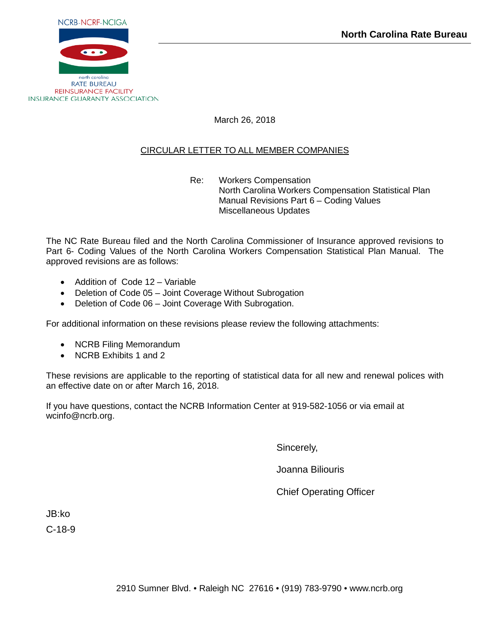

March 26, 2018

### CIRCULAR LETTER TO ALL MEMBER COMPANIES

Re: Workers Compensation North Carolina Workers Compensation Statistical Plan Manual Revisions Part 6 – Coding Values Miscellaneous Updates

The NC Rate Bureau filed and the North Carolina Commissioner of Insurance approved revisions to Part 6- Coding Values of the North Carolina Workers Compensation Statistical Plan Manual. The approved revisions are as follows:

- Addition of Code 12 Variable
- Deletion of Code 05 Joint Coverage Without Subrogation
- Deletion of Code 06 Joint Coverage With Subrogation.

For additional information on these revisions please review the following attachments:

- NCRB Filing Memorandum
- NCRB Exhibits 1 and 2

These revisions are applicable to the reporting of statistical data for all new and renewal polices with an effective date on or after March 16, 2018.

If you have questions, contact the NCRB Information Center at 919-582-1056 or via email at wcinfo@ncrb.org.

Sincerely,

Joanna Biliouris

Chief Operating Officer

JB:ko C-18-9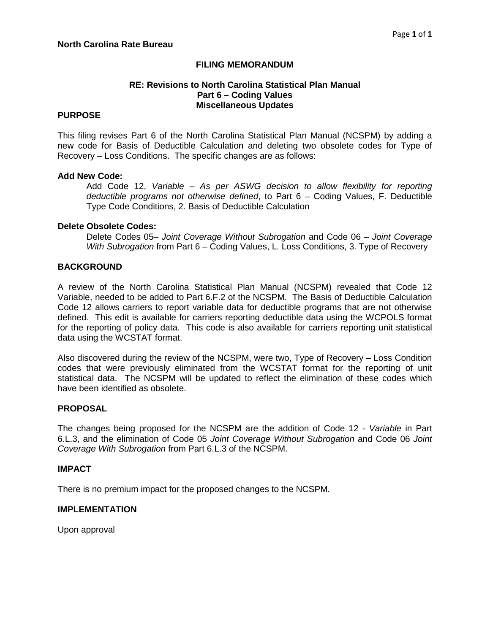#### **FILING MEMORANDUM**

#### **RE: Revisions to North Carolina Statistical Plan Manual Part 6 – Coding Values Miscellaneous Updates**

#### **PURPOSE**

This filing revises Part 6 of the North Carolina Statistical Plan Manual (NCSPM) by adding a new code for Basis of Deductible Calculation and deleting two obsolete codes for Type of Recovery – Loss Conditions. The specific changes are as follows:

#### **Add New Code:**

Add Code 12, *Variable – As per ASWG decision to allow flexibility for reporting deductible programs not otherwise defined*, to Part 6 – Coding Values, F. Deductible Type Code Conditions, 2. Basis of Deductible Calculation

#### **Delete Obsolete Codes:**

Delete Codes 05– *Joint Coverage Without Subrogation* and Code 06 – *Joint Coverage With Subrogation* from Part 6 – Coding Values, L. Loss Conditions, 3. Type of Recovery

#### **BACKGROUND**

A review of the North Carolina Statistical Plan Manual (NCSPM) revealed that Code 12 Variable, needed to be added to Part 6.F.2 of the NCSPM. The Basis of Deductible Calculation Code 12 allows carriers to report variable data for deductible programs that are not otherwise defined. This edit is available for carriers reporting deductible data using the WCPOLS format for the reporting of policy data. This code is also available for carriers reporting unit statistical data using the WCSTAT format.

Also discovered during the review of the NCSPM, were two, Type of Recovery – Loss Condition codes that were previously eliminated from the WCSTAT format for the reporting of unit statistical data. The NCSPM will be updated to reflect the elimination of these codes which have been identified as obsolete.

#### **PROPOSAL**

The changes being proposed for the NCSPM are the addition of Code 12 - *Variable* in Part 6.L.3, and the elimination of Code 05 *Joint Coverage Without Subrogation* and Code 06 *Joint Coverage With Subrogation* from Part 6.L.3 of the NCSPM.

#### **IMPACT**

There is no premium impact for the proposed changes to the NCSPM.

#### **IMPLEMENTATION**

Upon approval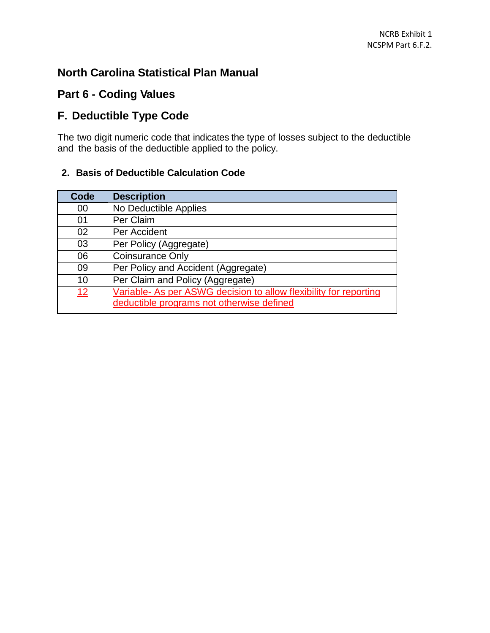### **North Carolina Statistical Plan Manual**

### **Part 6 - Coding Values**

# **F. Deductible Type Code**

The two digit numeric code that indicates the type of losses subject to the deductible and the basis of the deductible applied to the policy.

### **2. Basis of Deductible Calculation Code**

| Code | <b>Description</b>                                                |
|------|-------------------------------------------------------------------|
| 00   | No Deductible Applies                                             |
| 01   | Per Claim                                                         |
| 02   | Per Accident                                                      |
| 03   | Per Policy (Aggregate)                                            |
| 06   | <b>Coinsurance Only</b>                                           |
| 09   | Per Policy and Accident (Aggregate)                               |
| 10   | Per Claim and Policy (Aggregate)                                  |
| 12   | Variable- As per ASWG decision to allow flexibility for reporting |
|      | deductible programs not otherwise defined                         |